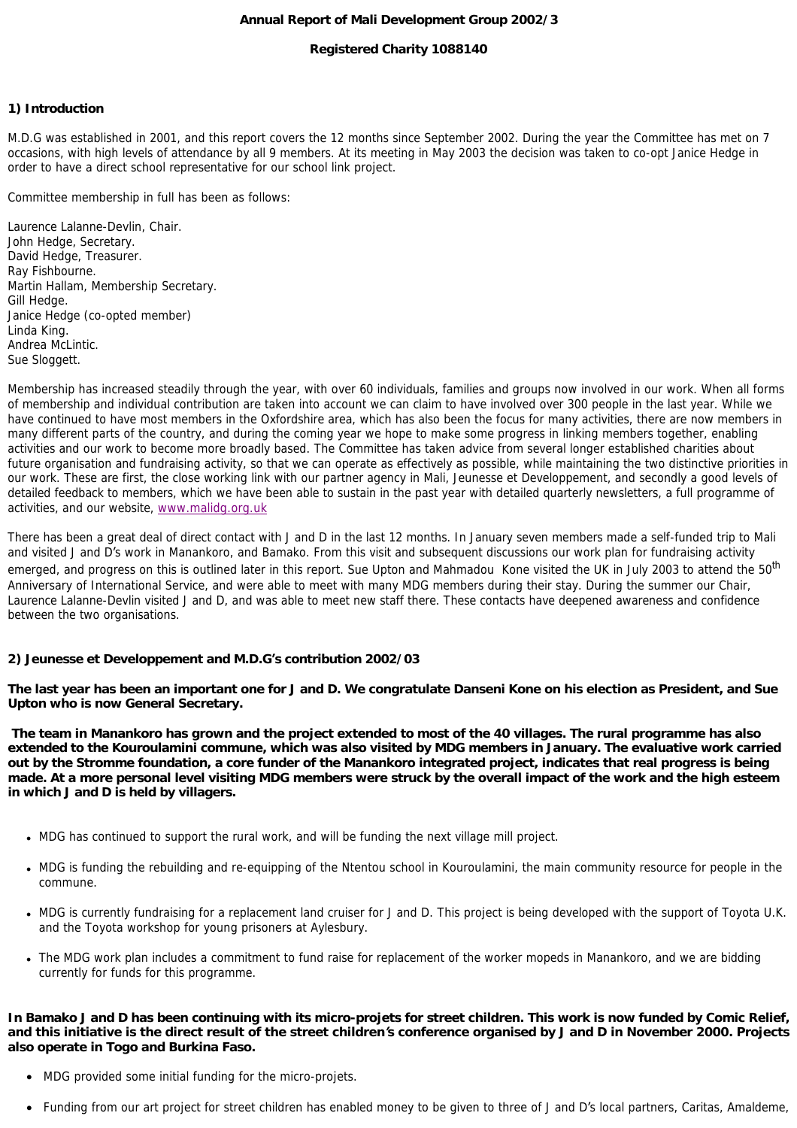#### **Annual Report of Mali Development Group 2002/3**

## **Registered Charity 1088140**

#### **1) Introduction**

M.D.G was established in 2001, and this report covers the 12 months since September 2002. During the year the Committee has met on 7 occasions, with high levels of attendance by all 9 members. At its meeting in May 2003 the decision was taken to co-opt Janice Hedge in order to have a direct school representative for our school link project.

Committee membership in full has been as follows:

Laurence Lalanne-Devlin, Chair. John Hedge, Secretary. David Hedge, Treasurer. Ray Fishbourne. Martin Hallam, Membership Secretary. Gill Hedge. Janice Hedge (co-opted member) Linda King. Andrea McLintic. Sue Sloggett.

Membership has increased steadily through the year, with over 60 individuals, families and groups now involved in our work. When all forms of membership and individual contribution are taken into account we can claim to have involved over 300 people in the last year. While we have continued to have most members in the Oxfordshire area, which has also been the focus for many activities, there are now members in many different parts of the country, and during the coming year we hope to make some progress in linking members together, enabling activities and our work to become more broadly based. The Committee has taken advice from several longer established charities about future organisation and fundraising activity, so that we can operate as effectively as possible, while maintaining the two distinctive priorities in our work. These are first, the close working link with our partner agency in Mali, Jeunesse et Developpement, and secondly a good levels of detailed feedback to members, which we have been able to sustain in the past year with detailed quarterly newsletters, a full programme of activities, and our website, [www.malidg.org.uk](http://www.malidg.org.uk/)

There has been a great deal of direct contact with J and D in the last 12 months. In January seven members made a self-funded trip to Mali and visited J and D's work in Manankoro, and Bamako. From this visit and subsequent discussions our work plan for fundraising activity emerged, and progress on this is outlined later in this report. Sue Upton and Mahmadou Kone visited the UK in July 2003 to attend the 50<sup>th</sup> Anniversary of International Service, and were able to meet with many MDG members during their stay. During the summer our Chair, Laurence Lalanne-Devlin visited J and D, and was able to meet new staff there. These contacts have deepened awareness and confidence between the two organisations.

#### **2) Jeunesse et Developpement and M.D.G's contribution 2002/03**

*The last year has been an important one for J and D. We congratulate Danseni Kone on his election as President, and Sue Upton who is now General Secretary.*

*The team in Manankoro has grown and the project extended to most of the 40 villages. The rural programme has also*  extended to the Kouroulamini commune, which was also visited by MDG members in January. The evaluative work carried *out by the Stromme foundation, a core funder of the Manankoro integrated project, indicates that real progress is being made. At a more personal level visiting MDG members were struck by the overall impact of the work and the high esteem in which J and D is held by villagers.*

- MDG has continued to support the rural work, and will be funding the next village mill project.
- MDG is funding the rebuilding and re-equipping of the Ntentou school in Kouroulamini, the main community resource for people in the commune.
- MDG is currently fundraising for a replacement land cruiser for J and D. This project is being developed with the support of Toyota U.K. and the Toyota workshop for young prisoners at Aylesbury.
- The MDG work plan includes a commitment to fund raise for replacement of the worker mopeds in Manankoro, and we are bidding currently for funds for this programme.

#### *In Bamako J and D has been continuing with its micro-projets for street children. This work is now funded by Comic Relief, and this initiative is the direct result of the street children***'***s conference organised by J and D in November 2000. Projects also operate in Togo and Burkina Faso.*

- MDG provided some initial funding for the micro-projets.
- Funding from our art project for street children has enabled money to be given to three of J and D's local partners, Caritas, Amaldeme,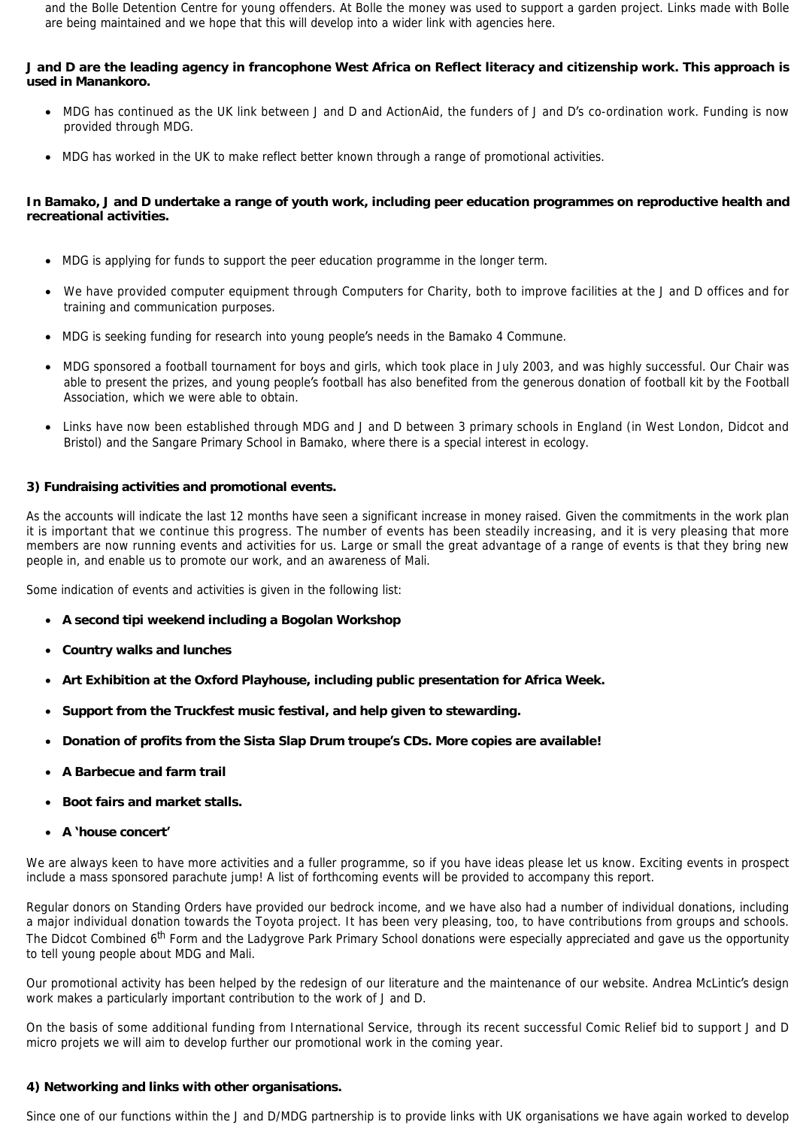and the Bolle Detention Centre for young offenders. At Bolle the money was used to support a garden project. Links made with Bolle are being maintained and we hope that this will develop into a wider link with agencies here.

## *J and D are the leading agency in francophone West Africa on Reflect literacy and citizenship work. This approach is used in Manankoro.*

- MDG has continued as the UK link between J and D and ActionAid, the funders of J and D's co-ordination work. Funding is now provided through MDG.
- MDG has worked in the UK to make reflect better known through a range of promotional activities.

## In Bamako, J and D undertake a range of youth work, including peer education programmes on reproductive health and *recreational activities.*

- MDG is applying for funds to support the peer education programme in the longer term.
- We have provided computer equipment through Computers for Charity, both to improve facilities at the J and D offices and for training and communication purposes.
- MDG is seeking funding for research into young people's needs in the Bamako 4 Commune.
- · MDG sponsored a football tournament for boys and girls, which took place in July 2003, and was highly successful. Our Chair was able to present the prizes, and young people's football has also benefited from the generous donation of football kit by the Football Association, which we were able to obtain.
- Links have now been established through MDG and J and D between 3 primary schools in England (in West London, Didcot and Bristol) and the Sangare Primary School in Bamako, where there is a special interest in ecology.

## **3) Fundraising activities and promotional events.**

As the accounts will indicate the last 12 months have seen a significant increase in money raised. Given the commitments in the work plan it is important that we continue this progress. The number of events has been steadily increasing, and it is very pleasing that more members are now running events and activities for us. Large or small the great advantage of a range of events is that they bring new people in, and enable us to promote our work, and an awareness of Mali.

Some indication of events and activities is given in the following list:

- · **A second tipi weekend including a Bogolan Workshop**
- · **Country walks and lunches**
- · **Art Exhibition at the Oxford Playhouse, including public presentation for Africa Week.**
- · **Support from the Truckfest music festival, and help given to stewarding.**
- · **Donation of profits from the Sista Slap Drum troupe's CDs. More copies are available!**
- · **A Barbecue and farm trail**
- · **Boot fairs and market stalls.**
- · **A 'house concert'**

We are always keen to have more activities and a fuller programme, so if you have ideas please let us know. Exciting events in prospect include a mass sponsored parachute jump! A list of forthcoming events will be provided to accompany this report.

Regular donors on Standing Orders have provided our bedrock income, and we have also had a number of individual donations, including a major individual donation towards the Toyota project. It has been very pleasing, too, to have contributions from groups and schools. The Didcot Combined 6<sup>th</sup> Form and the Ladygrove Park Primary School donations were especially appreciated and gave us the opportunity to tell young people about MDG and Mali.

Our promotional activity has been helped by the redesign of our literature and the maintenance of our website. Andrea McLintic's design work makes a particularly important contribution to the work of J and D.

On the basis of some additional funding from International Service, through its recent successful Comic Relief bid to support J and D micro projets we will aim to develop further our promotional work in the coming year.

#### **4) Networking and links with other organisations.**

Since one of our functions within the J and D/MDG partnership is to provide links with UK organisations we have again worked to develop